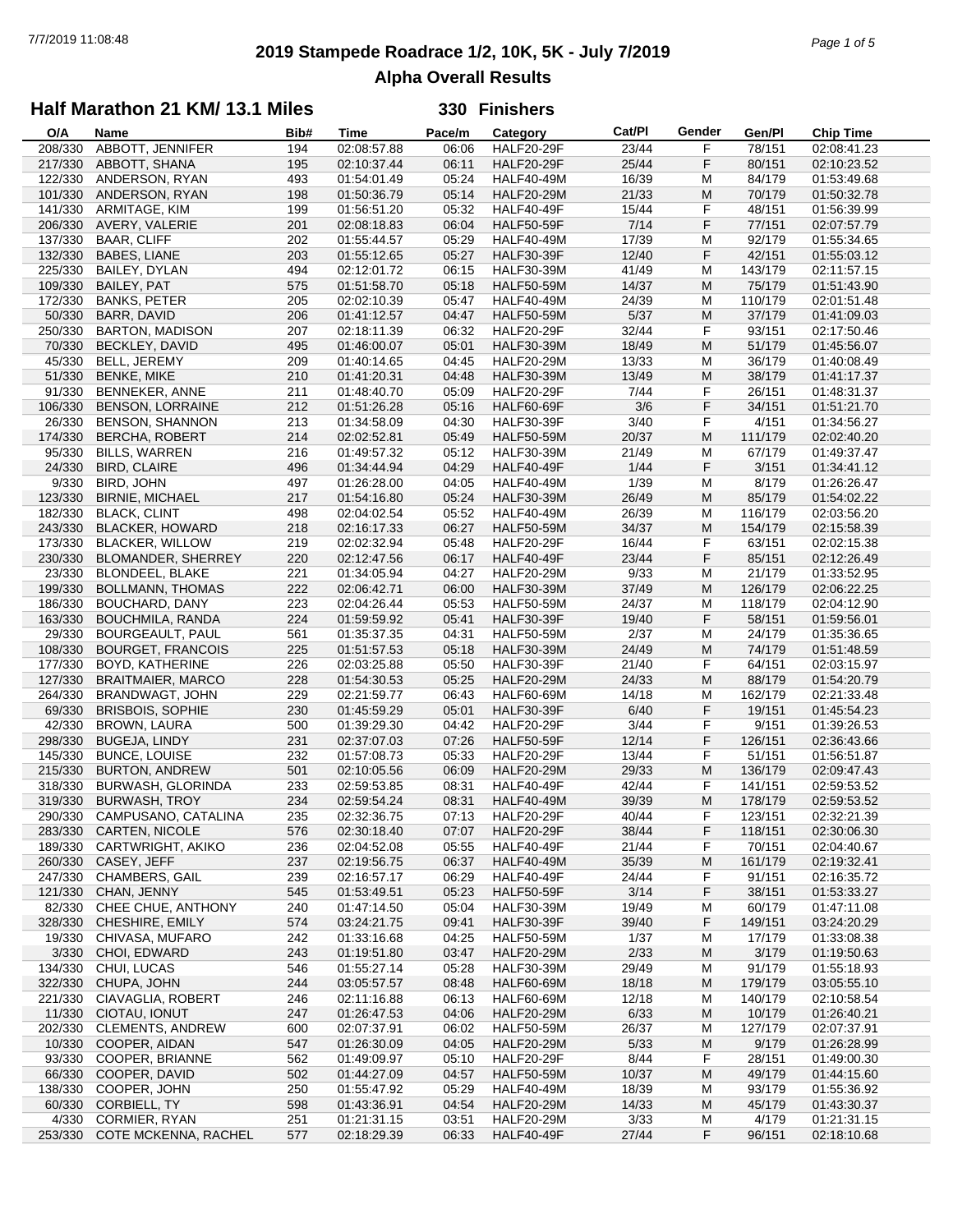# **2019 Stampede Roadrace 1/2, 10K, 5K - July 7/2019** 7/7/2019 11:08:48 *Page 1 of 5* **Alpha Overall Results**

### **Half Marathon 21 KM/ 13.1 Miles**

| O/A     | Name                     | Bib# | <b>Time</b> | Pace/m | Category          | Cat/PI | Gender    | Gen/Pl  | <b>Chip Time</b> |
|---------|--------------------------|------|-------------|--------|-------------------|--------|-----------|---------|------------------|
| 208/330 | ABBOTT, JENNIFER         | 194  | 02:08:57.88 | 06:06  | <b>HALF20-29F</b> | 23/44  | F         | 78/151  | 02:08:41.23      |
| 217/330 | ABBOTT, SHANA            | 195  | 02:10:37.44 | 06:11  | <b>HALF20-29F</b> | 25/44  | F         | 80/151  | 02:10:23.52      |
| 122/330 | ANDERSON, RYAN           | 493  | 01:54:01.49 | 05:24  | <b>HALF40-49M</b> | 16/39  | М         | 84/179  | 01:53:49.68      |
| 101/330 | ANDERSON, RYAN           | 198  | 01:50:36.79 | 05:14  | <b>HALF20-29M</b> | 21/33  | M         | 70/179  | 01:50:32.78      |
| 141/330 |                          | 199  |             | 05:32  | <b>HALF40-49F</b> |        | F         | 48/151  |                  |
|         | ARMITAGE, KIM            |      | 01:56:51.20 |        |                   | 15/44  |           |         | 01:56:39.99      |
| 206/330 | AVERY, VALERIE           | 201  | 02:08:18.83 | 06:04  | <b>HALF50-59F</b> | 7/14   | F         | 77/151  | 02:07:57.79      |
| 137/330 | <b>BAAR, CLIFF</b>       | 202  | 01:55:44.57 | 05:29  | <b>HALF40-49M</b> | 17/39  | M         | 92/179  | 01:55:34.65      |
| 132/330 | <b>BABES, LIANE</b>      | 203  | 01:55:12.65 | 05:27  | <b>HALF30-39F</b> | 12/40  | F         | 42/151  | 01:55:03.12      |
| 225/330 | BAILEY, DYLAN            | 494  | 02:12:01.72 | 06:15  | <b>HALF30-39M</b> | 41/49  | M         | 143/179 | 02:11:57.15      |
| 109/330 | <b>BAILEY, PAT</b>       | 575  | 01:51:58.70 | 05:18  | <b>HALF50-59M</b> | 14/37  | M         | 75/179  | 01:51:43.90      |
| 172/330 | <b>BANKS, PETER</b>      | 205  | 02:02:10.39 | 05:47  | <b>HALF40-49M</b> | 24/39  | M         | 110/179 | 02:01:51.48      |
| 50/330  | <b>BARR, DAVID</b>       | 206  | 01:41:12.57 | 04:47  | <b>HALF50-59M</b> | $5/37$ | M         | 37/179  | 01:41:09.03      |
| 250/330 | <b>BARTON, MADISON</b>   | 207  | 02:18:11.39 | 06:32  | <b>HALF20-29F</b> | 32/44  | F         | 93/151  | 02:17:50.46      |
|         |                          |      |             |        |                   |        |           |         |                  |
| 70/330  | BECKLEY, DAVID           | 495  | 01:46:00.07 | 05:01  | <b>HALF30-39M</b> | 18/49  | M         | 51/179  | 01:45:56.07      |
| 45/330  | BELL, JEREMY             | 209  | 01:40:14.65 | 04:45  | <b>HALF20-29M</b> | 13/33  | M         | 36/179  | 01:40:08.49      |
| 51/330  | <b>BENKE, MIKE</b>       | 210  | 01:41:20.31 | 04:48  | <b>HALF30-39M</b> | 13/49  | M         | 38/179  | 01:41:17.37      |
| 91/330  | BENNEKER, ANNE           | 211  | 01:48:40.70 | 05:09  | <b>HALF20-29F</b> | 7/44   | F         | 26/151  | 01:48:31.37      |
| 106/330 | <b>BENSON, LORRAINE</b>  | 212  | 01:51:26.28 | 05:16  | <b>HALF60-69F</b> | 3/6    | F         | 34/151  | 01:51:21.70      |
| 26/330  | <b>BENSON, SHANNON</b>   | 213  | 01:34:58.09 | 04:30  | <b>HALF30-39F</b> | 3/40   | F         | 4/151   | 01:34:56.27      |
| 174/330 | <b>BERCHA, ROBERT</b>    | 214  | 02:02:52.81 | 05:49  | <b>HALF50-59M</b> | 20/37  | M         | 111/179 | 02:02:40.20      |
| 95/330  | <b>BILLS, WARREN</b>     | 216  | 01:49:57.32 | 05:12  | <b>HALF30-39M</b> | 21/49  | M         | 67/179  | 01:49:37.47      |
|         |                          |      |             |        |                   |        |           |         |                  |
| 24/330  | <b>BIRD, CLAIRE</b>      | 496  | 01:34:44.94 | 04:29  | HALF40-49F        | 1/44   | F         | 3/151   | 01:34:41.12      |
| 9/330   | BIRD, JOHN               | 497  | 01:26:28.00 | 04:05  | <b>HALF40-49M</b> | 1/39   | M         | 8/179   | 01:26:26.47      |
| 123/330 | <b>BIRNIE, MICHAEL</b>   | 217  | 01:54:16.80 | 05:24  | <b>HALF30-39M</b> | 26/49  | ${\sf M}$ | 85/179  | 01:54:02.22      |
| 182/330 | <b>BLACK, CLINT</b>      | 498  | 02:04:02.54 | 05:52  | <b>HALF40-49M</b> | 26/39  | M         | 116/179 | 02:03:56.20      |
| 243/330 | <b>BLACKER, HOWARD</b>   | 218  | 02:16:17.33 | 06:27  | <b>HALF50-59M</b> | 34/37  | M         | 154/179 | 02:15:58.39      |
| 173/330 | <b>BLACKER, WILLOW</b>   | 219  | 02:02:32.94 | 05:48  | <b>HALF20-29F</b> | 16/44  | F         | 63/151  | 02:02:15.38      |
| 230/330 | BLOMANDER, SHERREY       | 220  | 02:12:47.56 | 06:17  | <b>HALF40-49F</b> | 23/44  | F         | 85/151  | 02:12:26.49      |
| 23/330  | <b>BLONDEEL, BLAKE</b>   | 221  | 01:34:05.94 | 04:27  | <b>HALF20-29M</b> | 9/33   | M         | 21/179  | 01:33:52.95      |
|         |                          |      |             |        |                   |        |           |         |                  |
| 199/330 | <b>BOLLMANN, THOMAS</b>  | 222  | 02:06:42.71 | 06:00  | <b>HALF30-39M</b> | 37/49  | M         | 126/179 | 02:06:22.25      |
| 186/330 | <b>BOUCHARD, DANY</b>    | 223  | 02:04:26.44 | 05:53  | <b>HALF50-59M</b> | 24/37  | M         | 118/179 | 02:04:12.90      |
| 163/330 | BOUCHMILA, RANDA         | 224  | 01:59:59.92 | 05:41  | <b>HALF30-39F</b> | 19/40  | F         | 58/151  | 01:59:56.01      |
| 29/330  | BOURGEAULT, PAUL         | 561  | 01:35:37.35 | 04:31  | <b>HALF50-59M</b> | 2/37   | М         | 24/179  | 01:35:36.65      |
| 108/330 | <b>BOURGET, FRANCOIS</b> | 225  | 01:51:57.53 | 05:18  | <b>HALF30-39M</b> | 24/49  | M         | 74/179  | 01:51:48.59      |
| 177/330 | BOYD, KATHERINE          | 226  | 02:03:25.88 | 05:50  | <b>HALF30-39F</b> | 21/40  | F         | 64/151  | 02:03:15.97      |
| 127/330 | <b>BRAITMAIER, MARCO</b> | 228  | 01:54:30.53 | 05:25  | <b>HALF20-29M</b> | 24/33  | M         | 88/179  | 01:54:20.79      |
| 264/330 | BRANDWAGT, JOHN          | 229  | 02:21:59.77 | 06:43  | <b>HALF60-69M</b> | 14/18  | M         | 162/179 | 02:21:33.48      |
| 69/330  |                          |      |             | 05:01  |                   | 6/40   | F         |         |                  |
|         | <b>BRISBOIS, SOPHIE</b>  | 230  | 01:45:59.29 |        | <b>HALF30-39F</b> |        |           | 19/151  | 01:45:54.23      |
| 42/330  | <b>BROWN, LAURA</b>      | 500  | 01:39:29.30 | 04:42  | <b>HALF20-29F</b> | 3/44   | F         | 9/151   | 01:39:26.53      |
| 298/330 | <b>BUGEJA, LINDY</b>     | 231  | 02:37:07.03 | 07:26  | <b>HALF50-59F</b> | 12/14  | F         | 126/151 | 02:36:43.66      |
| 145/330 | <b>BUNCE, LOUISE</b>     | 232  | 01:57:08.73 | 05:33  | <b>HALF20-29F</b> | 13/44  | F         | 51/151  | 01:56:51.87      |
| 215/330 | <b>BURTON, ANDREW</b>    | 501  | 02:10:05.56 | 06:09  | <b>HALF20-29M</b> | 29/33  | M         | 136/179 | 02:09:47.43      |
| 318/330 | BURWASH, GLORINDA        | 233  | 02:59:53.85 | 08:31  | <b>HALF40-49F</b> | 42/44  | F         | 141/151 | 02:59:53.52      |
| 319/330 | <b>BURWASH, TROY</b>     | 234  | 02:59:54.24 | 08:31  | <b>HALF40-49M</b> | 39/39  | M         | 178/179 | 02:59:53.52      |
| 290/330 | CAMPUSANO, CATALINA      | 235  | 02:32:36.75 | 07:13  | <b>HALF20-29F</b> | 40/44  | F         | 123/151 | 02:32:21.39      |
| 283/330 | CARTEN, NICOLE           | 576  | 02:30:18.40 | 07:07  | <b>HALF20-29F</b> | 38/44  | F         | 118/151 | 02:30:06.30      |
| 189/330 | CARTWRIGHT, AKIKO        | 236  | 02:04:52.08 | 05:55  | <b>HALF40-49F</b> | 21/44  | F         | 70/151  | 02:04:40.67      |
|         |                          |      |             |        |                   |        |           |         |                  |
| 260/330 | CASEY, JEFF              | 237  | 02:19:56.75 | 06:37  | <b>HALF40-49M</b> | 35/39  | M         | 161/179 | 02:19:32.41      |
| 247/330 | <b>CHAMBERS, GAIL</b>    | 239  | 02:16:57.17 | 06:29  | <b>HALF40-49F</b> | 24/44  | F         | 91/151  | 02:16:35.72      |
| 121/330 | CHAN, JENNY              | 545  | 01:53:49.51 | 05:23  | <b>HALF50-59F</b> | 3/14   | F         | 38/151  | 01:53:33.27      |
| 82/330  | CHEE CHUE, ANTHONY       | 240  | 01:47:14.50 | 05:04  | <b>HALF30-39M</b> | 19/49  | M         | 60/179  | 01:47:11.08      |
| 328/330 | CHESHIRE, EMILY          | 574  | 03:24:21.75 | 09:41  | HALF30-39F        | 39/40  | F         | 149/151 | 03:24:20.29      |
| 19/330  | CHIVASA, MUFARO          | 242  | 01:33:16.68 | 04:25  | <b>HALF50-59M</b> | 1/37   | M         | 17/179  | 01:33:08.38      |
| 3/330   | CHOI, EDWARD             | 243  | 01:19:51.80 | 03:47  | <b>HALF20-29M</b> | 2/33   | M         | 3/179   | 01:19:50.63      |
| 134/330 | CHUI, LUCAS              | 546  | 01:55:27.14 | 05:28  | <b>HALF30-39M</b> | 29/49  | M         | 91/179  | 01:55:18.93      |
| 322/330 | CHUPA, JOHN              | 244  | 03:05:57.57 | 08:48  | <b>HALF60-69M</b> | 18/18  | M         | 179/179 | 03:05:55.10      |
|         |                          |      |             |        |                   |        |           |         |                  |
| 221/330 | CIAVAGLIA, ROBERT        | 246  | 02:11:16.88 | 06:13  | <b>HALF60-69M</b> | 12/18  | M         | 140/179 | 02:10:58.54      |
| 11/330  | CIOTAU, IONUT            | 247  | 01:26:47.53 | 04:06  | <b>HALF20-29M</b> | 6/33   | M         | 10/179  | 01:26:40.21      |
| 202/330 | <b>CLEMENTS, ANDREW</b>  | 600  | 02:07:37.91 | 06:02  | <b>HALF50-59M</b> | 26/37  | M         | 127/179 | 02:07:37.91      |
| 10/330  | COOPER, AIDAN            | 547  | 01:26:30.09 | 04:05  | <b>HALF20-29M</b> | 5/33   | M         | 9/179   | 01:26:28.99      |
| 93/330  | COOPER, BRIANNE          | 562  | 01:49:09.97 | 05:10  | <b>HALF20-29F</b> | 8/44   | F         | 28/151  | 01:49:00.30      |
| 66/330  | COOPER, DAVID            | 502  | 01:44:27.09 | 04:57  | <b>HALF50-59M</b> | 10/37  | M         | 49/179  | 01:44:15.60      |
| 138/330 | COOPER, JOHN             | 250  | 01:55:47.92 | 05:29  | <b>HALF40-49M</b> | 18/39  | M         | 93/179  | 01:55:36.92      |
| 60/330  | CORBIELL, TY             | 598  | 01:43:36.91 | 04:54  | <b>HALF20-29M</b> | 14/33  | M         | 45/179  | 01:43:30.37      |
|         |                          |      |             |        |                   |        |           |         |                  |
| 4/330   | CORMIER, RYAN            | 251  | 01:21:31.15 | 03:51  | <b>HALF20-29M</b> | 3/33   | M         | 4/179   | 01:21:31.15      |
| 253/330 | COTE MCKENNA, RACHEL     | 577  | 02:18:29.39 | 06:33  | <b>HALF40-49F</b> | 27/44  | F         | 96/151  | 02:18:10.68      |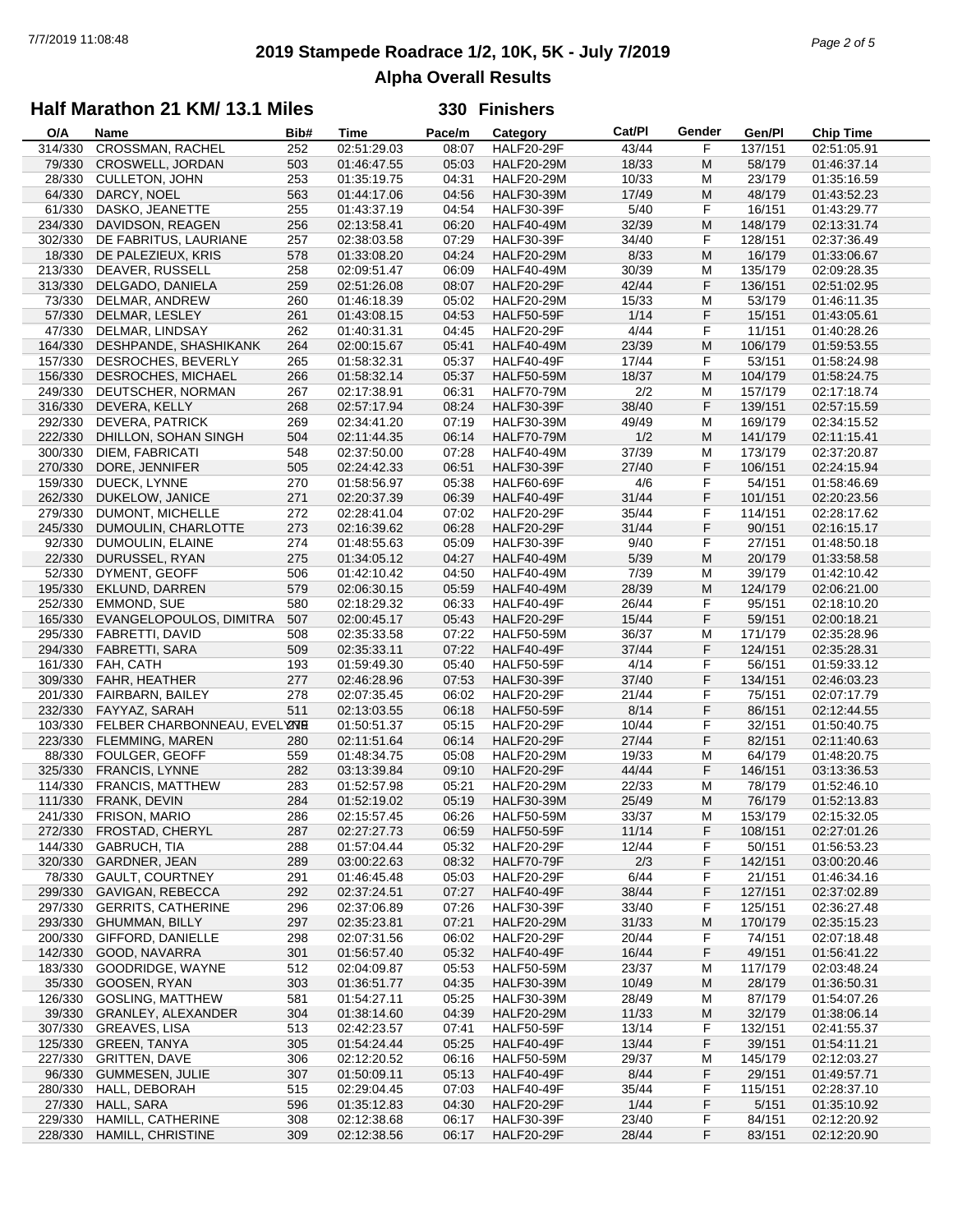# **2019 Stampede Roadrace 1/2, 10K, 5K - July 7/2019** 7/7/2019 11:08:48 *Page 2 of 5* **Alpha Overall Results**

### **Half Marathon 21 KM/ 13.1 Miles**

| O/A     | Name                         | Bib# | <b>Time</b> | Pace/m | Category          | Cat/PI | Gender | Gen/Pl  | <b>Chip Time</b> |
|---------|------------------------------|------|-------------|--------|-------------------|--------|--------|---------|------------------|
| 314/330 | <b>CROSSMAN, RACHEL</b>      | 252  | 02:51:29.03 | 08:07  | <b>HALF20-29F</b> | 43/44  | F      | 137/151 | 02:51:05.91      |
| 79/330  | CROSWELL, JORDAN             | 503  | 01:46:47.55 | 05:03  | <b>HALF20-29M</b> | 18/33  | M      | 58/179  | 01:46:37.14      |
| 28/330  | <b>CULLETON, JOHN</b>        | 253  | 01:35:19.75 | 04:31  | <b>HALF20-29M</b> | 10/33  | M      | 23/179  | 01:35:16.59      |
| 64/330  | DARCY, NOEL                  | 563  | 01:44:17.06 | 04:56  | <b>HALF30-39M</b> | 17/49  | M      | 48/179  | 01:43:52.23      |
| 61/330  | DASKO, JEANETTE              |      |             | 04:54  |                   | 5/40   | F      | 16/151  |                  |
|         |                              | 255  | 01:43:37.19 |        | <b>HALF30-39F</b> |        |        |         | 01:43:29.77      |
| 234/330 | DAVIDSON, REAGEN             | 256  | 02:13:58.41 | 06:20  | <b>HALF40-49M</b> | 32/39  | M      | 148/179 | 02:13:31.74      |
| 302/330 | DE FABRITUS, LAURIANE        | 257  | 02:38:03.58 | 07:29  | <b>HALF30-39F</b> | 34/40  | F      | 128/151 | 02:37:36.49      |
| 18/330  | DE PALEZIEUX, KRIS           | 578  | 01:33:08.20 | 04:24  | <b>HALF20-29M</b> | 8/33   | M      | 16/179  | 01:33:06.67      |
| 213/330 | DEAVER, RUSSELL              | 258  | 02:09:51.47 | 06:09  | <b>HALF40-49M</b> | 30/39  | M      | 135/179 | 02:09:28.35      |
| 313/330 | DELGADO, DANIELA             | 259  | 02:51:26.08 | 08:07  | <b>HALF20-29F</b> | 42/44  | F      | 136/151 | 02:51:02.95      |
| 73/330  | DELMAR, ANDREW               | 260  | 01:46:18.39 | 05:02  | <b>HALF20-29M</b> | 15/33  | M      | 53/179  | 01:46:11.35      |
| 57/330  | DELMAR, LESLEY               | 261  | 01:43:08.15 | 04:53  | <b>HALF50-59F</b> | 1/14   | F      | 15/151  | 01:43:05.61      |
| 47/330  | DELMAR, LINDSAY              | 262  | 01:40:31.31 | 04:45  | <b>HALF20-29F</b> | 4/44   | F      | 11/151  | 01:40:28.26      |
| 164/330 | DESHPANDE, SHASHIKANK        | 264  | 02:00:15.67 | 05:41  | <b>HALF40-49M</b> | 23/39  | M      | 106/179 | 01:59:53.55      |
|         |                              |      |             |        |                   |        |        |         |                  |
| 157/330 | DESROCHES, BEVERLY           | 265  | 01:58:32.31 | 05:37  | <b>HALF40-49F</b> | 17/44  | F      | 53/151  | 01:58:24.98      |
| 156/330 | DESROCHES, MICHAEL           | 266  | 01:58:32.14 | 05:37  | <b>HALF50-59M</b> | 18/37  | M      | 104/179 | 01:58:24.75      |
| 249/330 | DEUTSCHER, NORMAN            | 267  | 02:17:38.91 | 06:31  | <b>HALF70-79M</b> | 2/2    | M      | 157/179 | 02:17:18.74      |
| 316/330 | DEVERA, KELLY                | 268  | 02:57:17.94 | 08:24  | <b>HALF30-39F</b> | 38/40  | F      | 139/151 | 02:57:15.59      |
| 292/330 | <b>DEVERA, PATRICK</b>       | 269  | 02:34:41.20 | 07:19  | <b>HALF30-39M</b> | 49/49  | м      | 169/179 | 02:34:15.52      |
| 222/330 | DHILLON, SOHAN SINGH         | 504  | 02:11:44.35 | 06:14  | <b>HALF70-79M</b> | 1/2    | M      | 141/179 | 02:11:15.41      |
| 300/330 | DIEM, FABRICATI              | 548  | 02:37:50.00 | 07:28  | <b>HALF40-49M</b> | 37/39  | M      | 173/179 | 02:37:20.87      |
| 270/330 | DORE, JENNIFER               | 505  | 02:24:42.33 | 06:51  | <b>HALF30-39F</b> | 27/40  | F      | 106/151 | 02:24:15.94      |
|         | DUECK, LYNNE                 |      |             |        | <b>HALF60-69F</b> |        | F      |         |                  |
| 159/330 |                              | 270  | 01:58:56.97 | 05:38  |                   | 4/6    |        | 54/151  | 01:58:46.69      |
| 262/330 | DUKELOW, JANICE              | 271  | 02:20:37.39 | 06:39  | <b>HALF40-49F</b> | 31/44  | F      | 101/151 | 02:20:23.56      |
| 279/330 | DUMONT, MICHELLE             | 272  | 02:28:41.04 | 07:02  | <b>HALF20-29F</b> | 35/44  | F      | 114/151 | 02:28:17.62      |
| 245/330 | DUMOULIN, CHARLOTTE          | 273  | 02:16:39.62 | 06:28  | <b>HALF20-29F</b> | 31/44  | F      | 90/151  | 02:16:15.17      |
| 92/330  | DUMOULIN, ELAINE             | 274  | 01:48:55.63 | 05:09  | <b>HALF30-39F</b> | 9/40   | F      | 27/151  | 01:48:50.18      |
| 22/330  | DURUSSEL, RYAN               | 275  | 01:34:05.12 | 04:27  | <b>HALF40-49M</b> | 5/39   | M      | 20/179  | 01:33:58.58      |
| 52/330  | DYMENT, GEOFF                | 506  | 01:42:10.42 | 04:50  | <b>HALF40-49M</b> | 7/39   | M      | 39/179  | 01:42:10.42      |
| 195/330 | EKLUND, DARREN               | 579  | 02:06:30.15 | 05:59  | <b>HALF40-49M</b> | 28/39  | M      | 124/179 | 02:06:21.00      |
| 252/330 | EMMOND, SUE                  | 580  | 02:18:29.32 | 06:33  | <b>HALF40-49F</b> | 26/44  | F      | 95/151  | 02:18:10.20      |
|         |                              |      |             | 05:43  |                   |        | F      |         |                  |
| 165/330 | EVANGELOPOULOS, DIMITRA      | 507  | 02:00:45.17 |        | <b>HALF20-29F</b> | 15/44  |        | 59/151  | 02:00:18.21      |
| 295/330 | FABRETTI, DAVID              | 508  | 02:35:33.58 | 07:22  | <b>HALF50-59M</b> | 36/37  | М      | 171/179 | 02:35:28.96      |
| 294/330 | <b>FABRETTI, SARA</b>        | 509  | 02:35:33.11 | 07:22  | <b>HALF40-49F</b> | 37/44  | F      | 124/151 | 02:35:28.31      |
| 161/330 | FAH, CATH                    | 193  | 01:59:49.30 | 05:40  | <b>HALF50-59F</b> | 4/14   | F      | 56/151  | 01:59:33.12      |
| 309/330 | FAHR, HEATHER                | 277  | 02:46:28.96 | 07:53  | <b>HALF30-39F</b> | 37/40  | F      | 134/151 | 02:46:03.23      |
| 201/330 | FAIRBARN, BAILEY             | 278  | 02:07:35.45 | 06:02  | <b>HALF20-29F</b> | 21/44  | F      | 75/151  | 02:07:17.79      |
| 232/330 | FAYYAZ, SARAH                | 511  | 02:13:03.55 | 06:18  | <b>HALF50-59F</b> | 8/14   | F      | 86/151  | 02:12:44.55      |
| 103/330 | FELBER CHARBONNEAU, EVELYZNE |      | 01:50:51.37 | 05:15  | <b>HALF20-29F</b> | 10/44  | F      | 32/151  | 01:50:40.75      |
| 223/330 | FLEMMING, MAREN              | 280  | 02:11:51.64 | 06:14  | <b>HALF20-29F</b> | 27/44  | F      | 82/151  | 02:11:40.63      |
| 88/330  | <b>FOULGER, GEOFF</b>        | 559  | 01:48:34.75 | 05:08  | <b>HALF20-29M</b> | 19/33  | M      | 64/179  | 01:48:20.75      |
| 325/330 | <b>FRANCIS, LYNNE</b>        | 282  | 03:13:39.84 | 09:10  | <b>HALF20-29F</b> | 44/44  | F      | 146/151 | 03:13:36.53      |
|         | <b>FRANCIS, MATTHEW</b>      |      |             |        |                   |        | M      |         | 01:52:46.10      |
| 114/330 |                              | 283  | 01:52:57.98 | 05:21  | <b>HALF20-29M</b> | 22/33  |        | 78/179  |                  |
| 111/330 | FRANK, DEVIN                 | 284  | 01:52:19.02 | 05:19  | <b>HALF30-39M</b> | 25/49  | M      | 76/179  | 01:52:13.83      |
| 241/330 | <b>FRISON, MARIO</b>         | 286  | 02:15:57.45 | 06:26  | <b>HALF50-59M</b> | 33/37  | M      | 153/179 | 02:15:32.05      |
| 272/330 | FROSTAD, CHERYL              | 287  | 02:27:27.73 | 06:59  | <b>HALF50-59F</b> | 11/14  | F      | 108/151 | 02:27:01.26      |
| 144/330 | GABRUCH, TIA                 | 288  | 01:57:04.44 | 05:32  | <b>HALF20-29F</b> | 12/44  | F      | 50/151  | 01:56:53.23      |
| 320/330 | GARDNER, JEAN                | 289  | 03:00:22.63 | 08:32  | HALF70-79F        | 2/3    | F      | 142/151 | 03:00:20.46      |
| 78/330  | GAULT, COURTNEY              | 291  | 01:46:45.48 | 05:03  | <b>HALF20-29F</b> | 6/44   | F      | 21/151  | 01:46:34.16      |
| 299/330 | <b>GAVIGAN, REBECCA</b>      | 292  | 02:37:24.51 | 07:27  | <b>HALF40-49F</b> | 38/44  | F      | 127/151 | 02:37:02.89      |
| 297/330 | <b>GERRITS, CATHERINE</b>    | 296  | 02:37:06.89 | 07:26  | <b>HALF30-39F</b> | 33/40  | F      | 125/151 | 02:36:27.48      |
| 293/330 | <b>GHUMMAN, BILLY</b>        | 297  | 02:35:23.81 | 07:21  | <b>HALF20-29M</b> | 31/33  | M      | 170/179 | 02:35:15.23      |
|         |                              |      |             |        |                   |        |        |         |                  |
| 200/330 | GIFFORD, DANIELLE            | 298  | 02:07:31.56 | 06:02  | <b>HALF20-29F</b> | 20/44  | F      | 74/151  | 02:07:18.48      |
| 142/330 | GOOD, NAVARRA                | 301  | 01:56:57.40 | 05:32  | <b>HALF40-49F</b> | 16/44  | F      | 49/151  | 01:56:41.22      |
| 183/330 | GOODRIDGE, WAYNE             | 512  | 02:04:09.87 | 05:53  | <b>HALF50-59M</b> | 23/37  | M      | 117/179 | 02:03:48.24      |
| 35/330  | GOOSEN, RYAN                 | 303  | 01:36:51.77 | 04:35  | <b>HALF30-39M</b> | 10/49  | M      | 28/179  | 01:36:50.31      |
| 126/330 | <b>GOSLING, MATTHEW</b>      | 581  | 01:54:27.11 | 05:25  | <b>HALF30-39M</b> | 28/49  | M      | 87/179  | 01:54:07.26      |
| 39/330  | GRANLEY, ALEXANDER           | 304  | 01:38:14.60 | 04:39  | <b>HALF20-29M</b> | 11/33  | M      | 32/179  | 01:38:06.14      |
| 307/330 | <b>GREAVES, LISA</b>         | 513  | 02:42:23.57 | 07:41  | <b>HALF50-59F</b> | 13/14  | F      | 132/151 | 02:41:55.37      |
| 125/330 | <b>GREEN, TANYA</b>          | 305  | 01:54:24.44 | 05:25  | HALF40-49F        | 13/44  | F      | 39/151  | 01:54:11.21      |
| 227/330 | <b>GRITTEN, DAVE</b>         | 306  | 02:12:20.52 | 06:16  | <b>HALF50-59M</b> | 29/37  | M      | 145/179 | 02:12:03.27      |
| 96/330  | GUMMESEN, JULIE              | 307  | 01:50:09.11 | 05:13  | <b>HALF40-49F</b> | 8/44   | F      | 29/151  | 01:49:57.71      |
| 280/330 | HALL, DEBORAH                |      | 02:29:04.45 | 07:03  | <b>HALF40-49F</b> | 35/44  | F      | 115/151 | 02:28:37.10      |
|         |                              | 515  |             |        |                   |        |        |         |                  |
| 27/330  | HALL, SARA                   | 596  | 01:35:12.83 | 04:30  | <b>HALF20-29F</b> | 1/44   | F      | 5/151   | 01:35:10.92      |
| 229/330 | HAMILL, CATHERINE            | 308  | 02:12:38.68 | 06:17  | <b>HALF30-39F</b> | 23/40  | F      | 84/151  | 02:12:20.92      |
| 228/330 | HAMILL, CHRISTINE            | 309  | 02:12:38.56 | 06:17  | <b>HALF20-29F</b> | 28/44  | F      | 83/151  | 02:12:20.90      |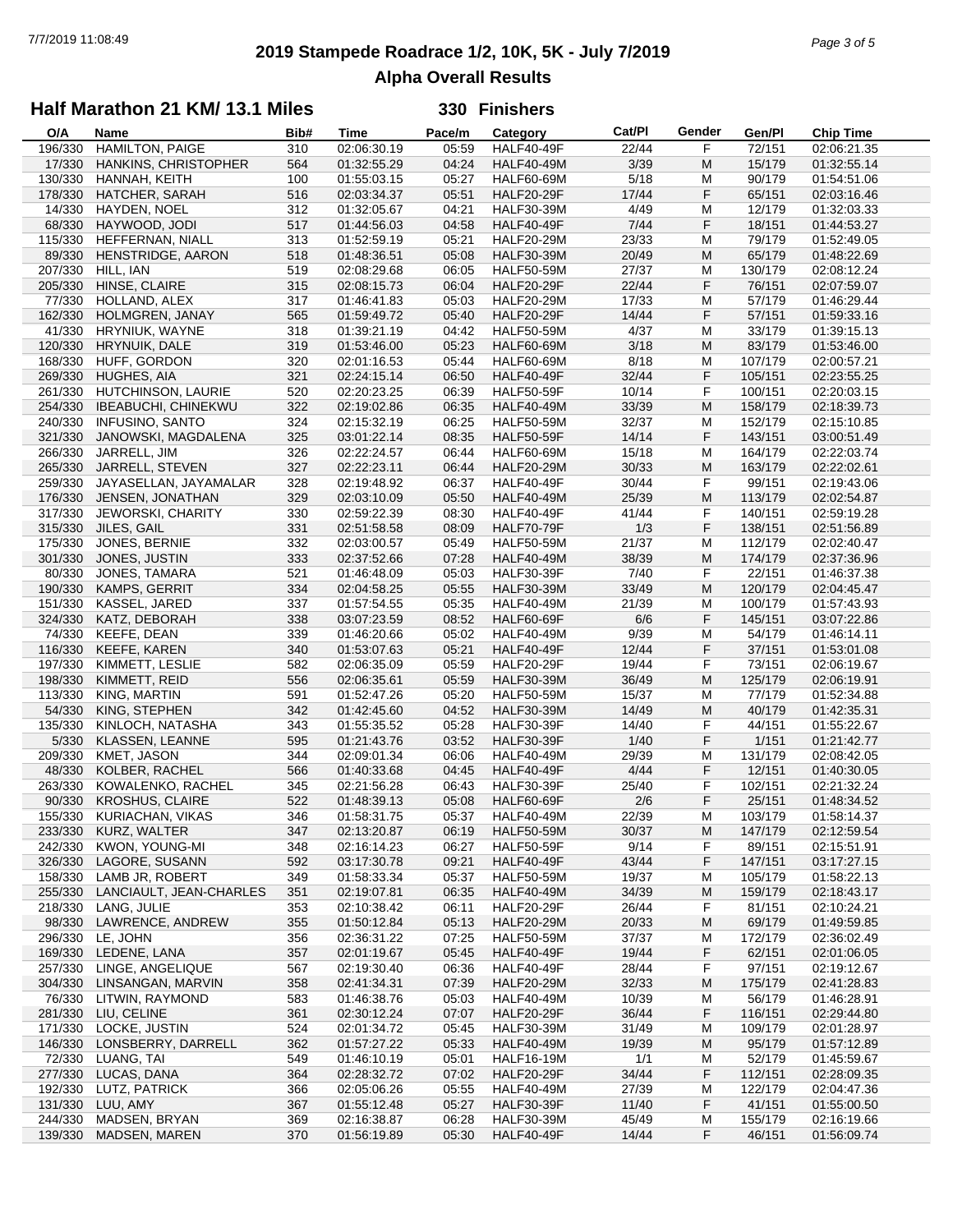# **2019 Stampede Roadrace 1/2, 10K, 5K - July 7/2019** 7/7/2019 11:08:49 *Page 3 of 5* **Alpha Overall Results**

### **Half Marathon 21 KM/ 13.1 Miles**

| O/A     | Name                       | Bib# | <b>Time</b> | Pace/m | Category          | Cat/Pl | Gender | Gen/Pl  | <b>Chip Time</b> |
|---------|----------------------------|------|-------------|--------|-------------------|--------|--------|---------|------------------|
| 196/330 | HAMILTON, PAIGE            | 310  | 02:06:30.19 | 05:59  | <b>HALF40-49F</b> | 22/44  | F      | 72/151  | 02:06:21.35      |
| 17/330  | HANKINS, CHRISTOPHER       | 564  | 01:32:55.29 | 04:24  | <b>HALF40-49M</b> | 3/39   | M      | 15/179  | 01:32:55.14      |
| 130/330 | HANNAH, KEITH              | 100  | 01:55:03.15 | 05:27  | <b>HALF60-69M</b> | 5/18   | M      | 90/179  | 01:54:51.06      |
| 178/330 | HATCHER, SARAH             | 516  | 02:03:34.37 | 05:51  | <b>HALF20-29F</b> | 17/44  | F      | 65/151  | 02:03:16.46      |
| 14/330  | HAYDEN, NOEL               | 312  | 01:32:05.67 | 04:21  | <b>HALF30-39M</b> | 4/49   | M      | 12/179  | 01:32:03.33      |
| 68/330  | HAYWOOD, JODI              | 517  | 01:44:56.03 | 04:58  | <b>HALF40-49F</b> | 7/44   | F      | 18/151  | 01:44:53.27      |
| 115/330 | HEFFERNAN, NIALL           | 313  | 01:52:59.19 | 05:21  | <b>HALF20-29M</b> | 23/33  | M      | 79/179  | 01:52:49.05      |
| 89/330  | HENSTRIDGE, AARON          | 518  | 01:48:36.51 | 05:08  | <b>HALF30-39M</b> | 20/49  | M      | 65/179  | 01:48:22.69      |
| 207/330 | HILL, IAN                  | 519  | 02:08:29.68 | 06:05  | <b>HALF50-59M</b> | 27/37  | M      | 130/179 | 02:08:12.24      |
|         |                            |      |             | 06:04  |                   | 22/44  | F      | 76/151  | 02:07:59.07      |
| 205/330 | HINSE, CLAIRE              | 315  | 02:08:15.73 |        | <b>HALF20-29F</b> |        |        |         |                  |
| 77/330  | HOLLAND, ALEX              | 317  | 01:46:41.83 | 05:03  | <b>HALF20-29M</b> | 17/33  | M      | 57/179  | 01:46:29.44      |
| 162/330 | HOLMGREN, JANAY            | 565  | 01:59:49.72 | 05:40  | <b>HALF20-29F</b> | 14/44  | F      | 57/151  | 01:59:33.16      |
| 41/330  | HRYNIUK, WAYNE             | 318  | 01:39:21.19 | 04:42  | <b>HALF50-59M</b> | 4/37   | M      | 33/179  | 01:39:15.13      |
| 120/330 | HRYNUIK, DALE              | 319  | 01:53:46.00 | 05:23  | <b>HALF60-69M</b> | 3/18   | M      | 83/179  | 01:53:46.00      |
| 168/330 | HUFF, GORDON               | 320  | 02:01:16.53 | 05:44  | <b>HALF60-69M</b> | 8/18   | M      | 107/179 | 02:00:57.21      |
| 269/330 | HUGHES, AIA                | 321  | 02:24:15.14 | 06:50  | <b>HALF40-49F</b> | 32/44  | F      | 105/151 | 02:23:55.25      |
| 261/330 | HUTCHINSON, LAURIE         | 520  | 02:20:23.25 | 06:39  | <b>HALF50-59F</b> | 10/14  | F      | 100/151 | 02:20:03.15      |
| 254/330 | <b>IBEABUCHI, CHINEKWU</b> | 322  | 02:19:02.86 | 06:35  | <b>HALF40-49M</b> | 33/39  | M      | 158/179 | 02:18:39.73      |
| 240/330 | <b>INFUSINO, SANTO</b>     | 324  | 02:15:32.19 | 06:25  | <b>HALF50-59M</b> | 32/37  | M      | 152/179 | 02:15:10.85      |
| 321/330 | JANOWSKI, MAGDALENA        | 325  | 03:01:22.14 | 08:35  | <b>HALF50-59F</b> | 14/14  | F      | 143/151 | 03:00:51.49      |
| 266/330 | JARRELL, JIM               | 326  | 02:22:24.57 | 06:44  | <b>HALF60-69M</b> | 15/18  | M      | 164/179 | 02:22:03.74      |
| 265/330 | JARRELL, STEVEN            | 327  | 02:22:23.11 | 06:44  | <b>HALF20-29M</b> | 30/33  | M      | 163/179 | 02:22:02.61      |
| 259/330 | JAYASELLAN, JAYAMALAR      | 328  | 02:19:48.92 | 06:37  | <b>HALF40-49F</b> | 30/44  | F      | 99/151  | 02:19:43.06      |
| 176/330 | JENSEN, JONATHAN           | 329  | 02:03:10.09 | 05:50  | <b>HALF40-49M</b> | 25/39  | M      | 113/179 | 02:02:54.87      |
| 317/330 | <b>JEWORSKI, CHARITY</b>   | 330  | 02:59:22.39 | 08:30  | <b>HALF40-49F</b> | 41/44  | F      | 140/151 | 02:59:19.28      |
| 315/330 |                            |      | 02:51:58.58 |        |                   |        | F      |         |                  |
|         | JILES, GAIL                | 331  |             | 08:09  | <b>HALF70-79F</b> | 1/3    |        | 138/151 | 02:51:56.89      |
| 175/330 | JONES, BERNIE              | 332  | 02:03:00.57 | 05:49  | <b>HALF50-59M</b> | 21/37  | M      | 112/179 | 02:02:40.47      |
| 301/330 | JONES, JUSTIN              | 333  | 02:37:52.66 | 07:28  | <b>HALF40-49M</b> | 38/39  | M      | 174/179 | 02:37:36.96      |
| 80/330  | JONES, TAMARA              | 521  | 01:46:48.09 | 05:03  | <b>HALF30-39F</b> | 7/40   | F      | 22/151  | 01:46:37.38      |
| 190/330 | KAMPS, GERRIT              | 334  | 02:04:58.25 | 05:55  | <b>HALF30-39M</b> | 33/49  | M      | 120/179 | 02:04:45.47      |
| 151/330 | KASSEL, JARED              | 337  | 01:57:54.55 | 05:35  | <b>HALF40-49M</b> | 21/39  | M      | 100/179 | 01:57:43.93      |
| 324/330 | KATZ, DEBORAH              | 338  | 03:07:23.59 | 08:52  | <b>HALF60-69F</b> | 6/6    | F      | 145/151 | 03:07:22.86      |
| 74/330  | KEEFE, DEAN                | 339  | 01:46:20.66 | 05:02  | <b>HALF40-49M</b> | 9/39   | М      | 54/179  | 01:46:14.11      |
| 116/330 | <b>KEEFE, KAREN</b>        | 340  | 01:53:07.63 | 05:21  | <b>HALF40-49F</b> | 12/44  | F      | 37/151  | 01:53:01.08      |
| 197/330 | KIMMETT, LESLIE            | 582  | 02:06:35.09 | 05:59  | <b>HALF20-29F</b> | 19/44  | F      | 73/151  | 02:06:19.67      |
| 198/330 | KIMMETT, REID              | 556  | 02:06:35.61 | 05:59  | <b>HALF30-39M</b> | 36/49  | M      | 125/179 | 02:06:19.91      |
| 113/330 | KING, MARTIN               | 591  | 01:52:47.26 | 05:20  | <b>HALF50-59M</b> | 15/37  | M      | 77/179  | 01:52:34.88      |
| 54/330  | KING, STEPHEN              | 342  | 01:42:45.60 | 04:52  | <b>HALF30-39M</b> | 14/49  | M      | 40/179  | 01:42:35.31      |
| 135/330 | KINLOCH, NATASHA           | 343  | 01:55:35.52 | 05:28  | <b>HALF30-39F</b> | 14/40  | F      | 44/151  | 01:55:22.67      |
| 5/330   | KLASSEN, LEANNE            | 595  | 01:21:43.76 | 03:52  | <b>HALF30-39F</b> | 1/40   | F      | 1/151   | 01:21:42.77      |
| 209/330 | KMET, JASON                | 344  | 02:09:01.34 | 06:06  | <b>HALF40-49M</b> | 29/39  | М      | 131/179 | 02:08:42.05      |
| 48/330  | KOLBER, RACHEL             | 566  | 01:40:33.68 | 04:45  | <b>HALF40-49F</b> | 4/44   | F      | 12/151  | 01:40:30.05      |
| 263/330 | KOWALENKO, RACHEL          | 345  | 02:21:56.28 | 06:43  | <b>HALF30-39F</b> | 25/40  | F      | 102/151 | 02:21:32.24      |
|         |                            |      |             |        |                   |        | F      | 25/151  | 01:48:34.52      |
| 90/330  | <b>KROSHUS, CLAIRE</b>     | 522  | 01:48:39.13 | 05:08  | HALF60-69F        | 2/6    |        |         |                  |
| 155/330 | KURIACHAN, VIKAS           | 346  | 01:58:31.75 | 05:37  | <b>HALF40-49M</b> | 22/39  | M      | 103/179 | 01:58:14.37      |
| 233/330 | KURZ, WALTER               | 347  | 02:13:20.87 | 06:19  | <b>HALF50-59M</b> | 30/37  | M      | 147/179 | 02:12:59.54      |
| 242/330 | KWON, YOUNG-MI             | 348  | 02:16:14.23 | 06:27  | <b>HALF50-59F</b> | 9/14   | F      | 89/151  | 02:15:51.91      |
| 326/330 | LAGORE, SUSANN             | 592  | 03:17:30.78 | 09:21  | <b>HALF40-49F</b> | 43/44  | F      | 147/151 | 03:17:27.15      |
| 158/330 | LAMB JR, ROBERT            | 349  | 01:58:33.34 | 05:37  | <b>HALF50-59M</b> | 19/37  | М      | 105/179 | 01:58:22.13      |
| 255/330 | LANCIAULT, JEAN-CHARLES    | 351  | 02:19:07.81 | 06:35  | <b>HALF40-49M</b> | 34/39  | M      | 159/179 | 02:18:43.17      |
| 218/330 | LANG, JULIE                | 353  | 02:10:38.42 | 06:11  | <b>HALF20-29F</b> | 26/44  | F      | 81/151  | 02:10:24.21      |
| 98/330  | LAWRENCE, ANDREW           | 355  | 01:50:12.84 | 05:13  | <b>HALF20-29M</b> | 20/33  | M      | 69/179  | 01:49:59.85      |
| 296/330 | LE, JOHN                   | 356  | 02:36:31.22 | 07:25  | <b>HALF50-59M</b> | 37/37  | M      | 172/179 | 02:36:02.49      |
| 169/330 | LEDENE, LANA               | 357  | 02:01:19.67 | 05:45  | <b>HALF40-49F</b> | 19/44  | F      | 62/151  | 02:01:06.05      |
| 257/330 | LINGE, ANGELIQUE           | 567  | 02:19:30.40 | 06:36  | HALF40-49F        | 28/44  | F      | 97/151  | 02:19:12.67      |
| 304/330 | LINSANGAN, MARVIN          | 358  | 02:41:34.31 | 07:39  | <b>HALF20-29M</b> | 32/33  | M      | 175/179 | 02:41:28.83      |
| 76/330  | LITWIN, RAYMOND            | 583  | 01:46:38.76 | 05:03  | <b>HALF40-49M</b> | 10/39  | M      | 56/179  | 01:46:28.91      |
| 281/330 | LIU, CELINE                | 361  | 02:30:12.24 | 07:07  | <b>HALF20-29F</b> | 36/44  | F      | 116/151 | 02:29:44.80      |
| 171/330 | LOCKE, JUSTIN              | 524  | 02:01:34.72 | 05:45  | <b>HALF30-39M</b> | 31/49  | M      | 109/179 | 02:01:28.97      |
| 146/330 | LONSBERRY, DARRELL         | 362  | 01:57:27.22 | 05:33  | <b>HALF40-49M</b> | 19/39  | M      | 95/179  | 01:57:12.89      |
| 72/330  | LUANG, TAI                 | 549  | 01:46:10.19 | 05:01  | <b>HALF16-19M</b> | 1/1    | M      | 52/179  | 01:45:59.67      |
|         |                            |      |             |        |                   | 34/44  |        |         |                  |
| 277/330 | LUCAS, DANA                | 364  | 02:28:32.72 | 07:02  | <b>HALF20-29F</b> |        | F      | 112/151 | 02:28:09.35      |
| 192/330 | LUTZ, PATRICK              | 366  | 02:05:06.26 | 05:55  | <b>HALF40-49M</b> | 27/39  | M      | 122/179 | 02:04:47.36      |
| 131/330 | LUU, AMY                   | 367  | 01:55:12.48 | 05:27  | <b>HALF30-39F</b> | 11/40  | F      | 41/151  | 01:55:00.50      |
| 244/330 | MADSEN, BRYAN              | 369  | 02:16:38.87 | 06:28  | <b>HALF30-39M</b> | 45/49  | M      | 155/179 | 02:16:19.66      |
| 139/330 | MADSEN, MAREN              | 370  | 01:56:19.89 | 05:30  | <b>HALF40-49F</b> | 14/44  | F      | 46/151  | 01:56:09.74      |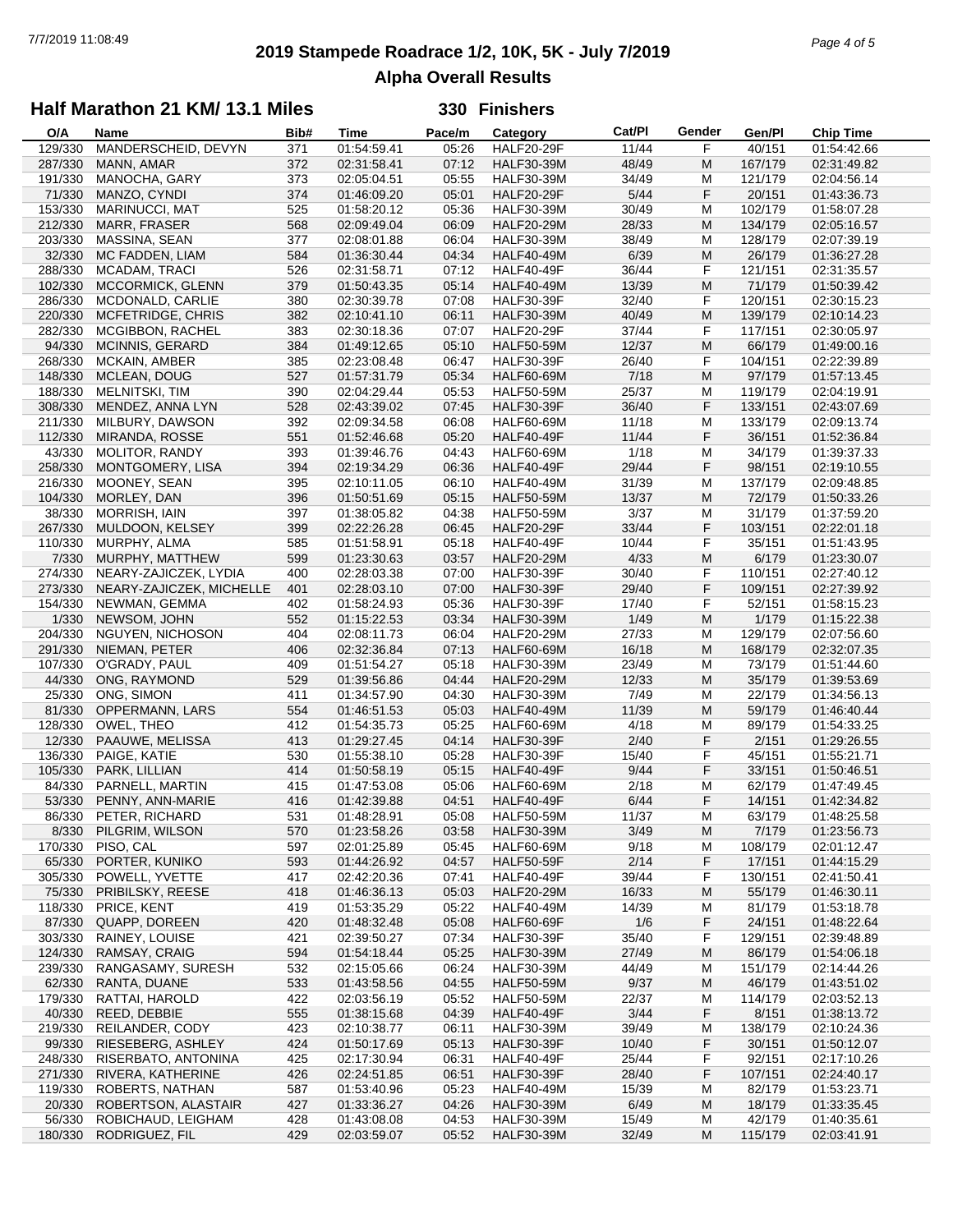## **2019 Stampede Roadrace 1/2, 10K, 5K - July 7/2019** 7/7/2019 11:08:49 *Page 4 of 5* **Alpha Overall Results**

### **Half Marathon 21 KM/ 13.1 Miles**

| O/A     | Name                     | Bib# | Time        | Pace/m | Category          | Cat/Pl | Gender | Gen/Pl  | <b>Chip Time</b> |
|---------|--------------------------|------|-------------|--------|-------------------|--------|--------|---------|------------------|
| 129/330 | MANDERSCHEID, DEVYN      | 371  | 01:54:59.41 | 05:26  | <b>HALF20-29F</b> | 11/44  | F      | 40/151  | 01:54:42.66      |
| 287/330 | MANN, AMAR               | 372  | 02:31:58.41 | 07:12  | <b>HALF30-39M</b> | 48/49  | M      | 167/179 | 02:31:49.82      |
| 191/330 | MANOCHA, GARY            | 373  | 02:05:04.51 | 05:55  | <b>HALF30-39M</b> | 34/49  | М      | 121/179 | 02:04:56.14      |
| 71/330  | MANZO, CYNDI             | 374  | 01:46:09.20 | 05:01  | <b>HALF20-29F</b> | 5/44   | F      | 20/151  | 01:43:36.73      |
| 153/330 | MARINUCCI, MAT           | 525  | 01:58:20.12 | 05:36  | <b>HALF30-39M</b> | 30/49  | M      | 102/179 | 01:58:07.28      |
|         |                          |      |             |        |                   |        |        |         |                  |
| 212/330 | MARR, FRASER             | 568  | 02:09:49.04 | 06:09  | <b>HALF20-29M</b> | 28/33  | M      | 134/179 | 02:05:16.57      |
| 203/330 | MASSINA, SEAN            | 377  | 02:08:01.88 | 06:04  | <b>HALF30-39M</b> | 38/49  | M      | 128/179 | 02:07:39.19      |
| 32/330  | MC FADDEN, LIAM          | 584  | 01:36:30.44 | 04:34  | <b>HALF40-49M</b> | 6/39   | M      | 26/179  | 01:36:27.28      |
| 288/330 | MCADAM, TRACI            | 526  | 02:31:58.71 | 07:12  | HALF40-49F        | 36/44  | F      | 121/151 | 02:31:35.57      |
| 102/330 | MCCORMICK, GLENN         | 379  | 01:50:43.35 | 05:14  | <b>HALF40-49M</b> | 13/39  | M      | 71/179  | 01:50:39.42      |
| 286/330 | MCDONALD, CARLIE         | 380  | 02:30:39.78 | 07:08  | <b>HALF30-39F</b> | 32/40  | F      | 120/151 | 02:30:15.23      |
| 220/330 | MCFETRIDGE, CHRIS        | 382  | 02:10:41.10 | 06:11  | <b>HALF30-39M</b> | 40/49  | M      | 139/179 | 02:10:14.23      |
| 282/330 | MCGIBBON, RACHEL         | 383  | 02:30:18.36 | 07:07  | <b>HALF20-29F</b> | 37/44  | F      | 117/151 | 02:30:05.97      |
| 94/330  | <b>MCINNIS, GERARD</b>   | 384  | 01:49:12.65 | 05:10  | <b>HALF50-59M</b> | 12/37  | M      | 66/179  | 01:49:00.16      |
|         |                          |      |             |        |                   |        |        |         |                  |
| 268/330 | MCKAIN, AMBER            | 385  | 02:23:08.48 | 06:47  | <b>HALF30-39F</b> | 26/40  | F      | 104/151 | 02:22:39.89      |
| 148/330 | MCLEAN, DOUG             | 527  | 01:57:31.79 | 05:34  | <b>HALF60-69M</b> | 7/18   | M      | 97/179  | 01:57:13.45      |
| 188/330 | MELNITSKI, TIM           | 390  | 02:04:29.44 | 05:53  | <b>HALF50-59M</b> | 25/37  | М      | 119/179 | 02:04:19.91      |
| 308/330 | MENDEZ, ANNA LYN         | 528  | 02:43:39.02 | 07:45  | <b>HALF30-39F</b> | 36/40  | F      | 133/151 | 02:43:07.69      |
| 211/330 | MILBURY, DAWSON          | 392  | 02:09:34.58 | 06:08  | HALF60-69M        | 11/18  | M      | 133/179 | 02:09:13.74      |
| 112/330 | MIRANDA, ROSSE           | 551  | 01:52:46.68 | 05:20  | <b>HALF40-49F</b> | 11/44  | F      | 36/151  | 01:52:36.84      |
| 43/330  | <b>MOLITOR, RANDY</b>    | 393  | 01:39:46.76 | 04:43  | <b>HALF60-69M</b> | 1/18   | М      | 34/179  | 01:39:37.33      |
| 258/330 | MONTGOMERY, LISA         | 394  | 02:19:34.29 | 06:36  | HALF40-49F        | 29/44  | F      | 98/151  | 02:19:10.55      |
| 216/330 | MOONEY, SEAN             | 395  | 02:10:11.05 | 06:10  | <b>HALF40-49M</b> | 31/39  | M      | 137/179 | 02:09:48.85      |
|         |                          |      |             |        |                   |        |        |         |                  |
| 104/330 | MORLEY, DAN              | 396  | 01:50:51.69 | 05:15  | <b>HALF50-59M</b> | 13/37  | M      | 72/179  | 01:50:33.26      |
| 38/330  | MORRISH, IAIN            | 397  | 01:38:05.82 | 04:38  | <b>HALF50-59M</b> | 3/37   | М      | 31/179  | 01:37:59.20      |
| 267/330 | MULDOON, KELSEY          | 399  | 02:22:26.28 | 06:45  | <b>HALF20-29F</b> | 33/44  | F      | 103/151 | 02:22:01.18      |
| 110/330 | MURPHY, ALMA             | 585  | 01:51:58.91 | 05:18  | HALF40-49F        | 10/44  | F      | 35/151  | 01:51:43.95      |
| 7/330   | MURPHY, MATTHEW          | 599  | 01:23:30.63 | 03:57  | <b>HALF20-29M</b> | 4/33   | M      | 6/179   | 01:23:30.07      |
| 274/330 | NEARY-ZAJICZEK, LYDIA    | 400  | 02:28:03.38 | 07:00  | <b>HALF30-39F</b> | 30/40  | F      | 110/151 | 02:27:40.12      |
| 273/330 | NEARY-ZAJICZEK, MICHELLE | 401  | 02:28:03.10 | 07:00  | <b>HALF30-39F</b> | 29/40  | F      | 109/151 | 02:27:39.92      |
| 154/330 | NEWMAN, GEMMA            | 402  | 01:58:24.93 | 05:36  | <b>HALF30-39F</b> | 17/40  | F      | 52/151  | 01:58:15.23      |
| 1/330   | NEWSOM, JOHN             | 552  | 01:15:22.53 | 03:34  | <b>HALF30-39M</b> | 1/49   | M      | 1/179   | 01:15:22.38      |
|         |                          |      | 02:08:11.73 |        |                   |        |        | 129/179 |                  |
| 204/330 | NGUYEN, NICHOSON         | 404  |             | 06:04  | <b>HALF20-29M</b> | 27/33  | М      |         | 02:07:56.60      |
| 291/330 | NIEMAN, PETER            | 406  | 02:32:36.84 | 07:13  | <b>HALF60-69M</b> | 16/18  | M      | 168/179 | 02:32:07.35      |
| 107/330 | O'GRADY, PAUL            | 409  | 01:51:54.27 | 05:18  | <b>HALF30-39M</b> | 23/49  | М      | 73/179  | 01:51:44.60      |
| 44/330  | ONG, RAYMOND             | 529  | 01:39:56.86 | 04:44  | <b>HALF20-29M</b> | 12/33  | M      | 35/179  | 01:39:53.69      |
| 25/330  | ONG, SIMON               | 411  | 01:34:57.90 | 04:30  | <b>HALF30-39M</b> | 7/49   | M      | 22/179  | 01:34:56.13      |
| 81/330  | OPPERMANN, LARS          | 554  | 01:46:51.53 | 05:03  | <b>HALF40-49M</b> | 11/39  | M      | 59/179  | 01:46:40.44      |
| 128/330 | OWEL, THEO               | 412  | 01:54:35.73 | 05:25  | <b>HALF60-69M</b> | 4/18   | M      | 89/179  | 01:54:33.25      |
| 12/330  | PAAUWE, MELISSA          | 413  | 01:29:27.45 | 04:14  | <b>HALF30-39F</b> | 2/40   | F      | 2/151   | 01:29:26.55      |
| 136/330 | PAIGE, KATIE             | 530  | 01:55:38.10 | 05:28  | <b>HALF30-39F</b> | 15/40  | F      | 45/151  | 01:55:21.71      |
| 105/330 | PARK, LILLIAN            | 414  | 01:50:58.19 | 05:15  | <b>HALF40-49F</b> | 9/44   | F      | 33/151  | 01:50:46.51      |
| 84/330  | PARNELL, MARTIN          | 415  | 01:47:53.08 | 05:06  | <b>HALF60-69M</b> | 2/18   | М      | 62/179  | 01:47:49.45      |
|         |                          |      |             |        |                   |        |        |         |                  |
| 53/330  | PENNY, ANN-MARIE         | 416  | 01:42:39.88 | 04:51  | HALF40-49F        | 6/44   | F      | 14/151  | 01:42:34.82      |
|         | 86/330 PETER, RICHARD    | 531  | 01:48:28.91 | 05:08  | <b>HALF50-59M</b> | 11/37  | M      | 63/179  | 01:48:25.58      |
| 8/330   | PILGRIM, WILSON          | 570  | 01:23:58.26 | 03:58  | <b>HALF30-39M</b> | 3/49   | M      | 7/179   | 01:23:56.73      |
| 170/330 | PISO, CAL                | 597  | 02:01:25.89 | 05:45  | <b>HALF60-69M</b> | 9/18   | M      | 108/179 | 02:01:12.47      |
| 65/330  | PORTER, KUNIKO           | 593  | 01:44:26.92 | 04:57  | <b>HALF50-59F</b> | 2/14   | F      | 17/151  | 01:44:15.29      |
| 305/330 | POWELL, YVETTE           | 417  | 02:42:20.36 | 07:41  | <b>HALF40-49F</b> | 39/44  | F      | 130/151 | 02:41:50.41      |
| 75/330  | PRIBILSKY, REESE         | 418  | 01:46:36.13 | 05:03  | <b>HALF20-29M</b> | 16/33  | M      | 55/179  | 01:46:30.11      |
| 118/330 | PRICE, KENT              | 419  | 01:53:35.29 | 05:22  | <b>HALF40-49M</b> | 14/39  | M      | 81/179  | 01:53:18.78      |
| 87/330  | QUAPP, DOREEN            | 420  | 01:48:32.48 | 05:08  | HALF60-69F        | 1/6    | F      | 24/151  | 01:48:22.64      |
| 303/330 | RAINEY, LOUISE           | 421  | 02:39:50.27 | 07:34  | <b>HALF30-39F</b> | 35/40  | F      | 129/151 | 02:39:48.89      |
| 124/330 | RAMSAY, CRAIG            | 594  | 01:54:18.44 | 05:25  | <b>HALF30-39M</b> | 27/49  | M      | 86/179  | 01:54:06.18      |
|         |                          |      |             |        |                   |        |        |         |                  |
| 239/330 | RANGASAMY, SURESH        | 532  | 02:15:05.66 | 06:24  | <b>HALF30-39M</b> | 44/49  | M      | 151/179 | 02:14:44.26      |
| 62/330  | RANTA, DUANE             | 533  | 01:43:58.56 | 04:55  | <b>HALF50-59M</b> | 9/37   | M      | 46/179  | 01:43:51.02      |
| 179/330 | RATTAI, HAROLD           | 422  | 02:03:56.19 | 05:52  | <b>HALF50-59M</b> | 22/37  | M      | 114/179 | 02:03:52.13      |
| 40/330  | REED, DEBBIE             | 555  | 01:38:15.68 | 04:39  | <b>HALF40-49F</b> | 3/44   | F      | 8/151   | 01:38:13.72      |
| 219/330 | REILANDER, CODY          | 423  | 02:10:38.77 | 06:11  | <b>HALF30-39M</b> | 39/49  | M      | 138/179 | 02:10:24.36      |
| 99/330  | RIESEBERG, ASHLEY        | 424  | 01:50:17.69 | 05:13  | <b>HALF30-39F</b> | 10/40  | F      | 30/151  | 01:50:12.07      |
| 248/330 | RISERBATO, ANTONINA      | 425  | 02:17:30.94 | 06:31  | HALF40-49F        | 25/44  | F      | 92/151  | 02:17:10.26      |
| 271/330 | RIVERA, KATHERINE        | 426  | 02:24:51.85 | 06:51  | <b>HALF30-39F</b> | 28/40  | F      | 107/151 | 02:24:40.17      |
| 119/330 | ROBERTS, NATHAN          | 587  | 01:53:40.96 | 05:23  | <b>HALF40-49M</b> | 15/39  | M      | 82/179  | 01:53:23.71      |
| 20/330  | ROBERTSON, ALASTAIR      | 427  | 01:33:36.27 | 04:26  | <b>HALF30-39M</b> | 6/49   | M      | 18/179  | 01:33:35.45      |
|         |                          |      |             |        |                   |        |        |         |                  |
| 56/330  | ROBICHAUD, LEIGHAM       | 428  | 01:43:08.08 | 04:53  | <b>HALF30-39M</b> | 15/49  | M      | 42/179  | 01:40:35.61      |
| 180/330 | RODRIGUEZ, FIL           | 429  | 02:03:59.07 | 05:52  | <b>HALF30-39M</b> | 32/49  | M      | 115/179 | 02:03:41.91      |